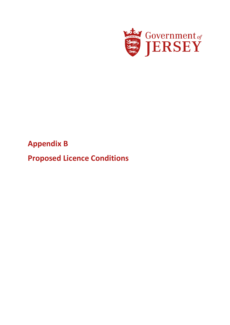

# **Appendix B**

**Proposed Licence Conditions**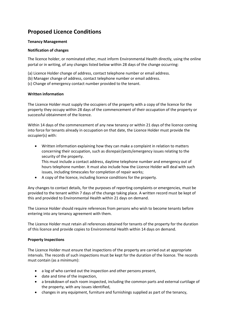## **Proposed Licence Conditions**

#### **Tenancy Management**

#### **Notification of changes**

The licence holder, or nominated other, must inform Environmental Health directly, using the online portal or in writing, of any changes listed below within 28 days of the change occurring:

- (a) Licence Holder change of address, contact telephone number or email address.
- (b) Manager change of address, contact telephone number or email address.
- (c) Change of emergency contact number provided to the tenant.

#### **Written information**

The Licence Holder must supply the occupiers of the property with a copy of the licence for the property they occupy within 28 days of the commencement of their occupation of the property or successful obtainment of the licence.

Within 14 days of the commencement of any new tenancy or within 21 days of the licence coming into force for tenants already in occupation on that date, the Licence Holder must provide the occupier(s) with:

 Written information explaining how they can make a complaint in relation to matters concerning their occupation, such as disrepair/pests/emergency issues relating to the security of the property.

This must include a contact address, daytime telephone number and emergency out of hours telephone number. It must also include how the Licence Holder will deal with such issues, including timescales for completion of repair works;

A copy of the licence, including licence conditions for the property.

Any changes to contact details, for the purposes of reporting complaints or emergencies, must be provided to the tenant within 7 days of the change taking place. A written record must be kept of this and provided to Environmental Health within 21 days on demand.

The Licence Holder should require references from persons who wish to become tenants before entering into any tenancy agreement with them.

The Licence Holder must retain all references obtained for tenants of the property for the duration of this licence and provide copies to Environmental Health within 14 days on demand.

### **Property Inspections**

The Licence Holder must ensure that inspections of the property are carried out at appropriate intervals. The records of such inspections must be kept for the duration of the licence. The records must contain (as a minimum):

- a log of who carried out the inspection and other persons present,
- date and time of the inspection,
- a breakdown of each room inspected, including the common parts and external curtilage of the property, with any issues identified,
- changes in any equipment, furniture and furnishings supplied as part of the tenancy,